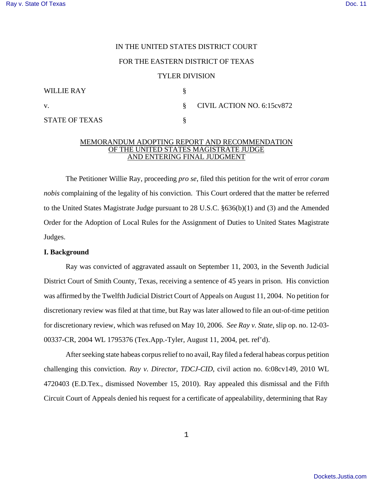# IN THE UNITED STATES DISTRICT COURT

# FOR THE EASTERN DISTRICT OF TEXAS

## TYLER DIVISION

| WILLIE RAY            |                                           |
|-----------------------|-------------------------------------------|
| V.                    | $\S$ CIVIL ACTION NO. 6:15 $\text{cv}872$ |
| <b>STATE OF TEXAS</b> |                                           |

#### MEMORANDUM ADOPTING REPORT AND RECOMMENDATION OF THE UNITED STATES MAGISTRATE JUDGE AND ENTERING FINAL JUDGMENT

The Petitioner Willie Ray, proceeding *pro se*, filed this petition for the writ of error *coram nobis* complaining of the legality of his conviction. This Court ordered that the matter be referred to the United States Magistrate Judge pursuant to 28 U.S.C. §636(b)(1) and (3) and the Amended Order for the Adoption of Local Rules for the Assignment of Duties to United States Magistrate Judges.

## **I. Background**

Ray was convicted of aggravated assault on September 11, 2003, in the Seventh Judicial District Court of Smith County, Texas, receiving a sentence of 45 years in prison. His conviction was affirmed by the Twelfth Judicial District Court of Appeals on August 11, 2004. No petition for discretionary review was filed at that time, but Ray was later allowed to file an out-of-time petition for discretionary review, which was refused on May 10, 2006. *See Ray v. State*, slip op. no. 12-03- 00337-CR, 2004 WL 1795376 (Tex.App.-Tyler, August 11, 2004, pet. ref'd).

After seeking state habeas corpus relief to no avail, Ray filed a federal habeas corpus petition challenging this conviction. *Ray v. Director, TDCJ-CID*, civil action no. 6:08cv149, 2010 WL 4720403 (E.D.Tex., dismissed November 15, 2010). Ray appealed this dismissal and the Fifth Circuit Court of Appeals denied his request for a certificate of appealability, determining that Ray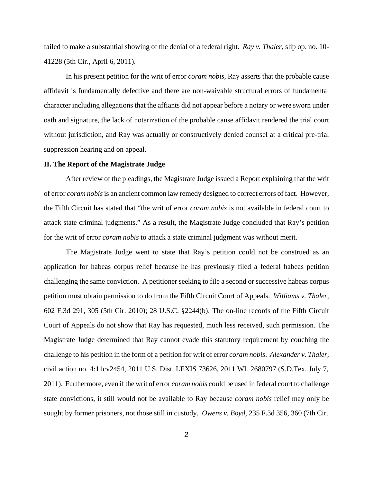failed to make a substantial showing of the denial of a federal right. *Ray v. Thaler*, slip op. no. 10- 41228 (5th Cir., April 6, 2011).

In his present petition for the writ of error *coram nobis*, Ray asserts that the probable cause affidavit is fundamentally defective and there are non-waivable structural errors of fundamental character including allegations that the affiants did not appear before a notary or were sworn under oath and signature, the lack of notarization of the probable cause affidavit rendered the trial court without jurisdiction, and Ray was actually or constructively denied counsel at a critical pre-trial suppression hearing and on appeal.

## **II. The Report of the Magistrate Judge**

After review of the pleadings, the Magistrate Judge issued a Report explaining that the writ of error *coram nobis* is an ancient common law remedy designed to correct errors of fact. However, the Fifth Circuit has stated that "the writ of error *coram nobis* is not available in federal court to attack state criminal judgments." As a result, the Magistrate Judge concluded that Ray's petition for the writ of error *coram nobis* to attack a state criminal judgment was without merit.

The Magistrate Judge went to state that Ray's petition could not be construed as an application for habeas corpus relief because he has previously filed a federal habeas petition challenging the same conviction. A petitioner seeking to file a second or successive habeas corpus petition must obtain permission to do from the Fifth Circuit Court of Appeals. *Williams v. Thaler*, 602 F.3d 291, 305 (5th Cir. 2010); 28 U.S.C. §2244(b). The on-line records of the Fifth Circuit Court of Appeals do not show that Ray has requested, much less received, such permission. The Magistrate Judge determined that Ray cannot evade this statutory requirement by couching the challenge to his petition in the form of a petition for writ of error *coram nobis*. *Alexander v. Thaler*, civil action no. 4:11cv2454, 2011 U.S. Dist. LEXIS 73626, 2011 WL 2680797 (S.D.Tex. July 7, 2011). Furthermore, even if the writ of error *coram nobis* could be used in federal court to challenge state convictions, it still would not be available to Ray because *coram nobis* relief may only be sought by former prisoners, not those still in custody. *Owens v. Boyd*, 235 F.3d 356, 360 (7th Cir.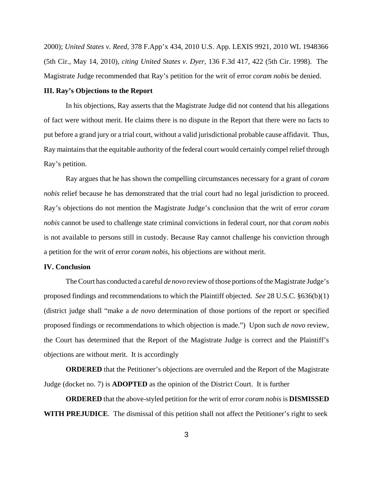2000); *United States v. Reed*, 378 F.App'x 434, 2010 U.S. App. LEXIS 9921, 2010 WL 1948366 (5th Cir., May 14, 2010), *citing United States v. Dyer*, 136 F.3d 417, 422 (5th Cir. 1998). The Magistrate Judge recommended that Ray's petition for the writ of error *coram nobis* be denied.

## **III. Ray's Objections to the Report**

In his objections, Ray asserts that the Magistrate Judge did not contend that his allegations of fact were without merit. He claims there is no dispute in the Report that there were no facts to put before a grand jury or a trial court, without a valid jurisdictional probable cause affidavit. Thus, Ray maintains that the equitable authority of the federal court would certainly compel relief through Ray's petition.

Ray argues that he has shown the compelling circumstances necessary for a grant of *coram nobis* relief because he has demonstrated that the trial court had no legal jurisdiction to proceed. Ray's objections do not mention the Magistrate Judge's conclusion that the writ of error *coram nobis* cannot be used to challenge state criminal convictions in federal court, nor that *coram nobis*  is not available to persons still in custody. Because Ray cannot challenge his conviction through a petition for the writ of error *coram nobis*, his objections are without merit.

#### **IV. Conclusion**

The Court has conducted a careful *de novo* review of those portions of the Magistrate Judge's proposed findings and recommendations to which the Plaintiff objected. *See* 28 U.S.C. §636(b)(1) (district judge shall "make a *de novo* determination of those portions of the report or specified proposed findings or recommendations to which objection is made.") Upon such *de novo* review, the Court has determined that the Report of the Magistrate Judge is correct and the Plaintiff's objections are without merit. It is accordingly

**ORDERED** that the Petitioner's objections are overruled and the Report of the Magistrate Judge (docket no. 7) is **ADOPTED** as the opinion of the District Court. It is further

**ORDERED** that the above-styled petition for the writ of error *coram nobis* is **DISMISSED WITH PREJUDICE**. The dismissal of this petition shall not affect the Petitioner's right to seek